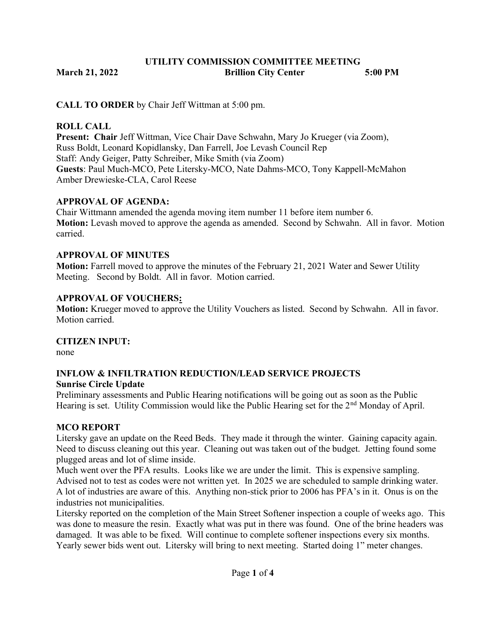# UTILITY COMMISSION COMMITTEE MEETING March 21, 2022 **Brillion City Center** 5:00 PM

CALL TO ORDER by Chair Jeff Wittman at 5:00 pm.

### ROLL CALL

Present: Chair Jeff Wittman, Vice Chair Dave Schwahn, Mary Jo Krueger (via Zoom), Russ Boldt, Leonard Kopidlansky, Dan Farrell, Joe Levash Council Rep Staff: Andy Geiger, Patty Schreiber, Mike Smith (via Zoom) Guests: Paul Much-MCO, Pete Litersky-MCO, Nate Dahms-MCO, Tony Kappell-McMahon Amber Drewieske-CLA, Carol Reese

### APPROVAL OF AGENDA:

Chair Wittmann amended the agenda moving item number 11 before item number 6. Motion: Levash moved to approve the agenda as amended. Second by Schwahn. All in favor. Motion carried.

### APPROVAL OF MINUTES

Motion: Farrell moved to approve the minutes of the February 21, 2021 Water and Sewer Utility Meeting. Second by Boldt. All in favor. Motion carried.

### APPROVAL OF VOUCHERS:

Motion: Krueger moved to approve the Utility Vouchers as listed. Second by Schwahn. All in favor. Motion carried.

### CITIZEN INPUT:

none

### INFLOW & INFILTRATION REDUCTION/LEAD SERVICE PROJECTS Sunrise Circle Update

Preliminary assessments and Public Hearing notifications will be going out as soon as the Public Hearing is set. Utility Commission would like the Public Hearing set for the 2<sup>nd</sup> Monday of April.

### MCO REPORT

Litersky gave an update on the Reed Beds. They made it through the winter. Gaining capacity again. Need to discuss cleaning out this year. Cleaning out was taken out of the budget. Jetting found some plugged areas and lot of slime inside.

Much went over the PFA results. Looks like we are under the limit. This is expensive sampling. Advised not to test as codes were not written yet. In 2025 we are scheduled to sample drinking water. A lot of industries are aware of this. Anything non-stick prior to 2006 has PFA's in it. Onus is on the industries not municipalities.

Litersky reported on the completion of the Main Street Softener inspection a couple of weeks ago. This was done to measure the resin. Exactly what was put in there was found. One of the brine headers was damaged. It was able to be fixed. Will continue to complete softener inspections every six months. Yearly sewer bids went out. Litersky will bring to next meeting. Started doing 1" meter changes.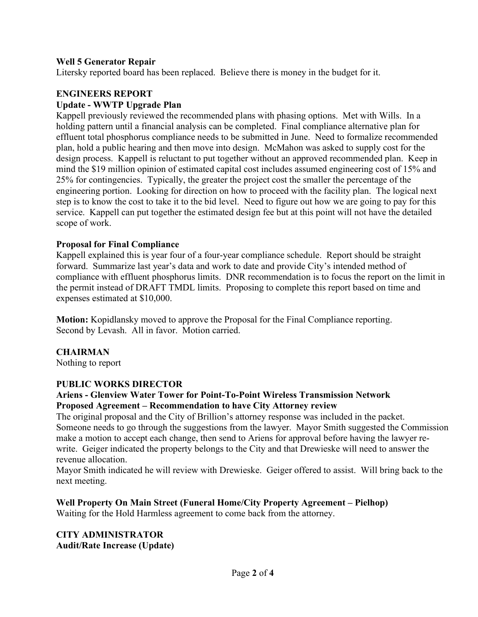## Well 5 Generator Repair

Litersky reported board has been replaced. Believe there is money in the budget for it.

# ENGINEERS REPORT Update - WWTP Upgrade Plan

Kappell previously reviewed the recommended plans with phasing options. Met with Wills. In a holding pattern until a financial analysis can be completed. Final compliance alternative plan for effluent total phosphorus compliance needs to be submitted in June. Need to formalize recommended plan, hold a public hearing and then move into design. McMahon was asked to supply cost for the design process. Kappell is reluctant to put together without an approved recommended plan. Keep in mind the \$19 million opinion of estimated capital cost includes assumed engineering cost of 15% and 25% for contingencies. Typically, the greater the project cost the smaller the percentage of the engineering portion. Looking for direction on how to proceed with the facility plan. The logical next step is to know the cost to take it to the bid level. Need to figure out how we are going to pay for this service. Kappell can put together the estimated design fee but at this point will not have the detailed scope of work.

### Proposal for Final Compliance

Kappell explained this is year four of a four-year compliance schedule. Report should be straight forward. Summarize last year's data and work to date and provide City's intended method of compliance with effluent phosphorus limits. DNR recommendation is to focus the report on the limit in the permit instead of DRAFT TMDL limits. Proposing to complete this report based on time and expenses estimated at \$10,000.

Motion: Kopidlansky moved to approve the Proposal for the Final Compliance reporting. Second by Levash. All in favor. Motion carried.

### **CHAIRMAN**

Nothing to report

### PUBLIC WORKS DIRECTOR

### Ariens - Glenview Water Tower for Point-To-Point Wireless Transmission Network Proposed Agreement – Recommendation to have City Attorney review

The original proposal and the City of Brillion's attorney response was included in the packet. Someone needs to go through the suggestions from the lawyer. Mayor Smith suggested the Commission make a motion to accept each change, then send to Ariens for approval before having the lawyer rewrite. Geiger indicated the property belongs to the City and that Drewieske will need to answer the revenue allocation.

Mayor Smith indicated he will review with Drewieske. Geiger offered to assist. Will bring back to the next meeting.

Well Property On Main Street (Funeral Home/City Property Agreement – Pielhop) Waiting for the Hold Harmless agreement to come back from the attorney.

# CITY ADMINISTRATOR Audit/Rate Increase (Update)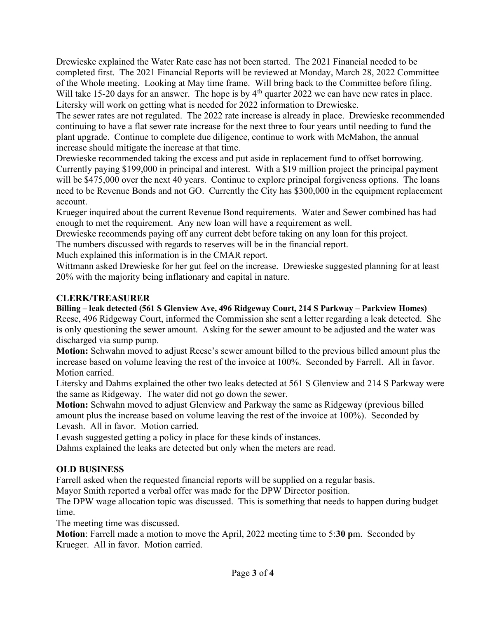Drewieske explained the Water Rate case has not been started. The 2021 Financial needed to be completed first. The 2021 Financial Reports will be reviewed at Monday, March 28, 2022 Committee of the Whole meeting. Looking at May time frame. Will bring back to the Committee before filing. Will take 15-20 days for an answer. The hope is by  $4<sup>th</sup>$  quarter 2022 we can have new rates in place. Litersky will work on getting what is needed for 2022 information to Drewieske.

The sewer rates are not regulated. The 2022 rate increase is already in place. Drewieske recommended continuing to have a flat sewer rate increase for the next three to four years until needing to fund the plant upgrade. Continue to complete due diligence, continue to work with McMahon, the annual increase should mitigate the increase at that time.

Drewieske recommended taking the excess and put aside in replacement fund to offset borrowing. Currently paying \$199,000 in principal and interest. With a \$19 million project the principal payment will be \$475,000 over the next 40 years. Continue to explore principal forgiveness options. The loans need to be Revenue Bonds and not GO. Currently the City has \$300,000 in the equipment replacement account.

Krueger inquired about the current Revenue Bond requirements. Water and Sewer combined has had enough to met the requirement. Any new loan will have a requirement as well.

Drewieske recommends paying off any current debt before taking on any loan for this project.

The numbers discussed with regards to reserves will be in the financial report.

Much explained this information is in the CMAR report.

Wittmann asked Drewieske for her gut feel on the increase. Drewieske suggested planning for at least 20% with the majority being inflationary and capital in nature.

# CLERK/TREASURER

Billing – leak detected (561 S Glenview Ave, 496 Ridgeway Court, 214 S Parkway – Parkview Homes) Reese, 496 Ridgeway Court, informed the Commission she sent a letter regarding a leak detected. She is only questioning the sewer amount. Asking for the sewer amount to be adjusted and the water was discharged via sump pump.

Motion: Schwahn moved to adjust Reese's sewer amount billed to the previous billed amount plus the increase based on volume leaving the rest of the invoice at 100%. Seconded by Farrell. All in favor. Motion carried.

Litersky and Dahms explained the other two leaks detected at 561 S Glenview and 214 S Parkway were the same as Ridgeway. The water did not go down the sewer.

Motion: Schwahn moved to adjust Glenview and Parkway the same as Ridgeway (previous billed amount plus the increase based on volume leaving the rest of the invoice at 100%). Seconded by Levash. All in favor. Motion carried.

Levash suggested getting a policy in place for these kinds of instances.

Dahms explained the leaks are detected but only when the meters are read.

# OLD BUSINESS

Farrell asked when the requested financial reports will be supplied on a regular basis.

Mayor Smith reported a verbal offer was made for the DPW Director position.

The DPW wage allocation topic was discussed. This is something that needs to happen during budget time.

The meeting time was discussed.

Motion: Farrell made a motion to move the April, 2022 meeting time to 5:30 pm. Seconded by Krueger. All in favor. Motion carried.